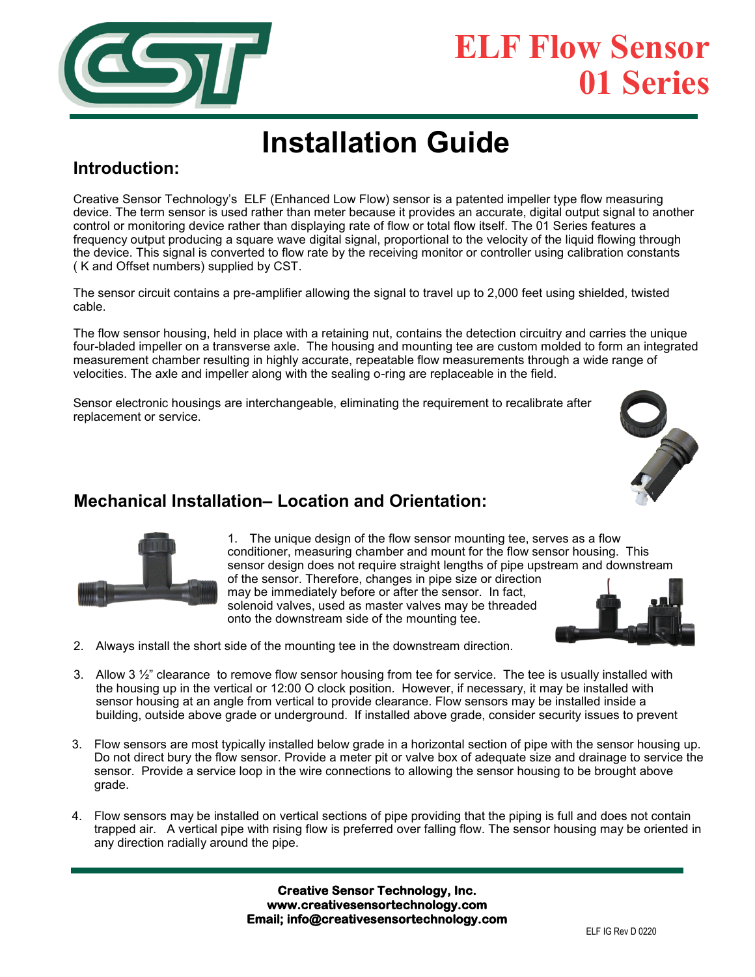

# **ELF Flow Sensor 01 Series**

# **Installation Guide**

# **Introduction:**

Creative Sensor Technology's ELF (Enhanced Low Flow) sensor is a patented impeller type flow measuring device. The term sensor is used rather than meter because it provides an accurate, digital output signal to another control or monitoring device rather than displaying rate of flow or total flow itself. The 01 Series features a frequency output producing a square wave digital signal, proportional to the velocity of the liquid flowing through the device. This signal is converted to flow rate by the receiving monitor or controller using calibration constants ( K and Offset numbers) supplied by CST.

The sensor circuit contains a pre-amplifier allowing the signal to travel up to 2,000 feet using shielded, twisted cable.

The flow sensor housing, held in place with a retaining nut, contains the detection circuitry and carries the unique four-bladed impeller on a transverse axle. The housing and mounting tee are custom molded to form an integrated measurement chamber resulting in highly accurate, repeatable flow measurements through a wide range of velocities. The axle and impeller along with the sealing o-ring are replaceable in the field.

Sensor electronic housings are interchangeable, eliminating the requirement to recalibrate after replacement or service.



## **Mechanical Installation– Location and Orientation:**



1. The unique design of the flow sensor mounting tee, serves as a flow conditioner, measuring chamber and mount for the flow sensor housing. This sensor design does not require straight lengths of pipe upstream and downstream of the sensor. Therefore, changes in pipe size or direction may be immediately before or after the sensor. In fact, solenoid valves, used as master valves may be threaded onto the downstream side of the mounting tee.



- 2. Always install the short side of the mounting tee in the downstream direction.
- 3. Allow 3 ½" clearance to remove flow sensor housing from tee for service. The tee is usually installed with the housing up in the vertical or 12:00 O clock position. However, if necessary, it may be installed with sensor housing at an angle from vertical to provide clearance. Flow sensors may be installed inside a building, outside above grade or underground. If installed above grade, consider security issues to prevent
- 3. Flow sensors are most typically installed below grade in a horizontal section of pipe with the sensor housing up. Do not direct bury the flow sensor. Provide a meter pit or valve box of adequate size and drainage to service the sensor. Provide a service loop in the wire connections to allowing the sensor housing to be brought above grade.
- 4. Flow sensors may be installed on vertical sections of pipe providing that the piping is full and does not contain trapped air. A vertical pipe with rising flow is preferred over falling flow. The sensor housing may be oriented in any direction radially around the pipe.

**Creative Sensor Technology, Inc. www.creativesensortechnology.com Email; info@creativesensortechnology.com**